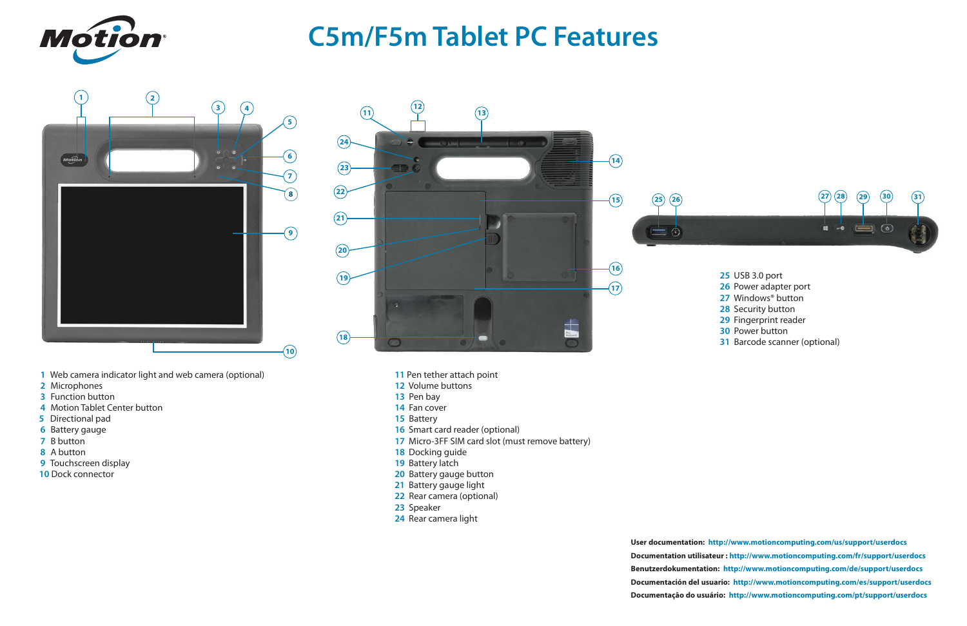







# **C5m/F5m Tablet PC Features**

- USB 3.0 port
- Power adapter port
- Windows® button
- Security button
- Fingerprint reader
- Power button
- Barcode scanner (optional)

- Pen tether attach point
- Volume buttons
- Pen bay
- Fan cover
- Battery
- Smart card reader (optional)
- Micro-3FF SIM card slot (must remove battery)
- Docking guide
- 19 Battery latch
- Battery gauge button
- Battery gauge light
- Rear camera (optional)
- Speaker
- Rear camera light
- Web camera indicator light and web camera (optional)
- Microphones
- Function button
- Motion Tablet Center button
- Directional pad
- Battery gauge
- B button
- A button
- Touchscreen display
- Dock connector

**User documentation: <http://www.motioncomputing.com/us/support/userdocs> Documentation utilisateur :<http://www.motioncomputing.com/fr/support/userdocs> Benutzerdokumentation: <http://www.motioncomputing.com/de/support/userdocs> [Documentación del usuario: http://www.motioncomputing.com/es/support/userdocs](Documenta��o do usu�rio) Documentação do usuário: <http://www.motioncomputing.com/pt/support/userdocs>**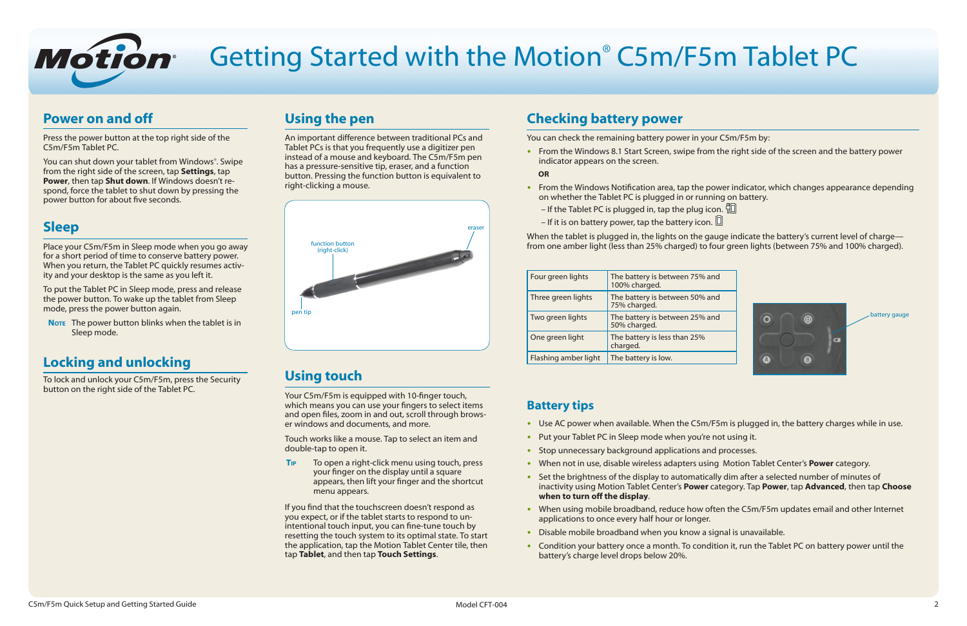

# Getting Started with the Motion® C5m/F5m Tablet PC

### **Power on and off**

Press the power button at the top right side of the C5m/F5m Tablet PC.

You can shut down your tablet from Windows®. Swipe from the right side of the screen, tap **Settings**, tap **Power**, then tap **Shut down**. If Windows doesn't respond, force the tablet to shut down by pressing the power button for about five seconds.

**NOTE** The power button blinks when the tablet is in Sleep mode.

### **Sleep**

Place your C5m/F5m in Sleep mode when you go away for a short period of time to conserve battery power. When you return, the Tablet PC quickly resumes activity and your desktop is the same as you left it.

To put the Tablet PC in Sleep mode, press and release the power button. To wake up the tablet from Sleep mode, press the power button again.

### **Locking and unlocking**

To lock and unlock your C5m/F5m, press the Security button on the right side of the Tablet PC.

## **Using the pen**

• From the Windows 8.1 Start Screen, swipe from indicator appears on the screen.

An important difference between traditional PCs and Tablet PCs is that you frequently use a digitizer pen instead of a mouse and keyboard. The C5m/F5m pen has a pressure-sensitive tip, eraser, and a function button. Pressing the function button is equivalent to right-clicking a mouse.

## **Using touch**

When the tablet is plugged in, the lights on the gauge indicate the battery's current level of charge from one amber light (less than 25% charged) to four green lights (between 75% and 100% charged).

|   | $\widehat{\mathbf{a}}$ |           | battery gauge |
|---|------------------------|-----------|---------------|
|   |                        | $\bullet$ |               |
| A | B                      |           |               |
|   |                        |           |               |

Your C5m/F5m is equipped with 10-finger touch, which means you can use your fingers to select items and open files, zoom in and out, scroll through browser windows and documents, and more.

Touch works like a mouse. Tap to select an item and double-tap to open it.

**Tip** To open a right-click menu using touch, press your finger on the display until a square appears, then lift your finger and the shortcut menu appears.

If you find that the touchscreen doesn't respond as you expect, or if the tablet starts to respond to unintentional touch input, you can fine-tune touch by resetting the touch system to its optimal state. To start the application, tap the Motion Tablet Center tile, then tap **Tablet**, and then tap **Touch Settings**.

- Use AC power when available. When the C5m/F5m is plugged in, the battery charges while in use.
- Put your Tablet PC in Sleep mode when you're not using it.
- Stop unnecessary background applications and processes.
- •• When not in use, disable wireless adapters using Motion Tablet Center's **Power** category.
- Set the brightness of the display to automatically dim after a selected number of minutes of inactivity using Motion Tablet Center's **Power** category. Tap **Power**, tap **Advanced**, then tap **Choose when to turn off the display**.
- When using mobile broadband, reduce how often the C5m/F5m updates email and other Internet applications to once every half hour or longer.
- Disable mobile broadband when you know a signal is unavailable.
- Condition your battery once a month. To condition it, run the Tablet PC on battery power until the battery's charge level drops below 20%.

| im Tablet PC                                                           |
|------------------------------------------------------------------------|
|                                                                        |
| ur C5m/F5m by:<br>m the right side of the screen and the battery power |
| ower indicator, which changes appearance depending<br>ning on battery. |

### **Checking battery power**

You can check the remaining battery power in yo

#### **OR**

- From the Windows Notification area, tap the power on whether the Tablet PC is plugged in or runing
	- If the Tablet PC is plugged in, tap the plug icon.  $\overline{u}$ – If it is on battery power, tap the battery icon.  $\Box$
	-

| Four green lights    | The battery is between 75% and<br>100% charged. |
|----------------------|-------------------------------------------------|
| Three green lights   | The battery is between 50% and<br>75% charged.  |
| Two green lights     | The battery is between 25% and<br>50% charged.  |
| One green light      | The battery is less than 25%<br>charged.        |
| Flashing amber light | The battery is low.                             |

### **Battery tips**

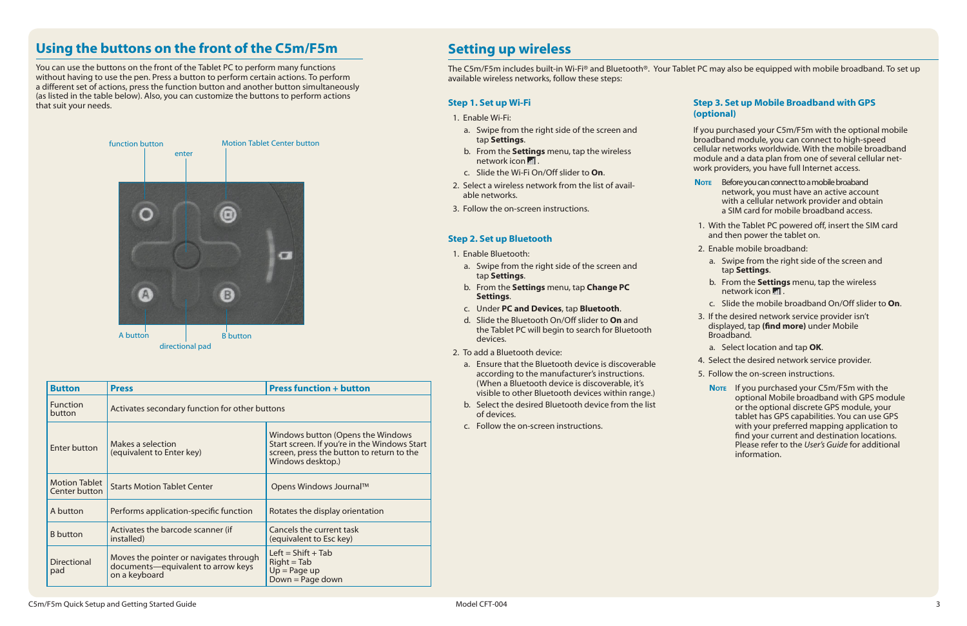#### **Statura 3. Set up Mobile Broadband with GPS (onal**)

purchased your C5m/F5m with the optional mobile dband module, you can connect to high-speed lar networks worldwide. With the mobile broadband ule and a data plan from one of several cellular netproviders, you have full Internet access.

### **Setting up wireless**

The C5m/F5m includes built-in Wi-Fi® and Bluetooth®. Your Tablet PC may also be equipped with mobile broadband. To set up available wireless networks, follow these steps:

|         | <b>Step 1. Set up Wi-Fi</b>                                                                                 | <b>Step</b>       |
|---------|-------------------------------------------------------------------------------------------------------------|-------------------|
|         | 1. Enable Wi-Fi:                                                                                            | (opti             |
|         | a. Swipe from the right side of the screen and<br>tap Settings.                                             | If you<br>broac   |
|         | b. From the Settings menu, tap the wireless<br>network icon ill.                                            | cellul<br>modu    |
|         | c. Slide the Wi-Fi On/Off slider to On.                                                                     | work              |
|         | 2. Select a wireless network from the list of avail-<br>able networks.                                      | <b>NOTE</b>       |
|         | 3. Follow the on-screen instructions.                                                                       |                   |
|         |                                                                                                             | 1. V              |
|         | <b>Step 2. Set up Bluetooth</b>                                                                             | a                 |
|         | 1. Enable Bluetooth:                                                                                        | 2. E              |
| a.      | Swipe from the right side of the screen and<br>tap Settings.                                                | a                 |
|         | b. From the Settings menu, tap Change PC<br>Settings.                                                       | $\mathsf b$       |
|         | c. Under PC and Devices, tap Bluetooth.                                                                     | C                 |
| $d_{-}$ | Slide the Bluetooth On/Off slider to On and<br>the Tablet PC will begin to search for Bluetooth<br>devices. | 3. If<br>d<br>B   |
|         | 2. To add a Bluetooth device:                                                                               | a                 |
|         | a. Ensure that the Bluetooth device is discoverable                                                         | 4. S              |
|         | according to the manufacturer's instructions.                                                               | 5. F <sub>0</sub> |
|         | (When a Bluetooth device is discoverable, it's<br>visible to other Bluetooth devices within range.)         | N                 |
|         | b. Select the desired Bluetooth device from the list                                                        |                   |

of devices. c. Follow the on-screen instructions.

- **Note** Before you can connect to a mobile broaband network, you must have an active account with a cellular network provider and obtain a SIM card for mobile broadband access.
- Vith the Tablet PC powered off, insert the SIM card nd then power the tablet on.
- nable mobile broadband:
- Swipe from the right side of the screen and tap **Settings**.
- b. From the **Settings** menu, tap the wireless network icon ...
- Slide the mobile broadband On/Off slider to On.
- the desired network service provider isn't displayed, tap **(find more)** under Mobile Broadband.
- a. Select location and tap **OK**.
- A. Select the desired network service provider.
- Follow the on-screen instructions.
- **Note** If you purchased your C5m/F5m with the optional Mobile broadband with GPS module or the optional discrete GPS module, your tablet has GPS capabilities. You can use GPS with your preferred mapping application to find your current and destination locations. Please refer to the *User's Guide* for additional information.

### **Using the buttons on the front of the C5m/F5m**

You can use the buttons on the front of the Tablet PC to perform many functions without having to use the pen. Press a button to perform certain actions. To perform a different set of actions, press the function button and another button simultaneously (as listed in the table below). Also, you can customize the buttons to perform actions that suit your needs.



| <b>Button</b>                         | <b>Press</b>                                                                                  | <b>Press function + button</b>                                                                                                                      |  |  |  |
|---------------------------------------|-----------------------------------------------------------------------------------------------|-----------------------------------------------------------------------------------------------------------------------------------------------------|--|--|--|
| <b>Function</b><br>button             | Activates secondary function for other buttons                                                |                                                                                                                                                     |  |  |  |
| <b>Enter button</b>                   | Makes a selection<br>(equivalent to Enter key)                                                | Windows button (Opens the Windows<br>Start screen. If you're in the Windows Start<br>screen, press the button to return to the<br>Windows desktop.) |  |  |  |
| <b>Motion Tablet</b><br>Center button | <b>Starts Motion Tablet Center</b>                                                            | Opens Windows Journal™                                                                                                                              |  |  |  |
| A button                              | Performs application-specific function                                                        | Rotates the display orientation                                                                                                                     |  |  |  |
| <b>B</b> button                       | Activates the barcode scanner (if<br>installed)                                               | Cancels the current task<br>(equivalent to Esc key)                                                                                                 |  |  |  |
| <b>Directional</b><br>pad             | Moves the pointer or navigates through<br>documents-equivalent to arrow keys<br>on a keyboard | Left = $Shift + Tab$<br>$Right = Tab$<br>$Up = Page up$<br>Down = Page down                                                                         |  |  |  |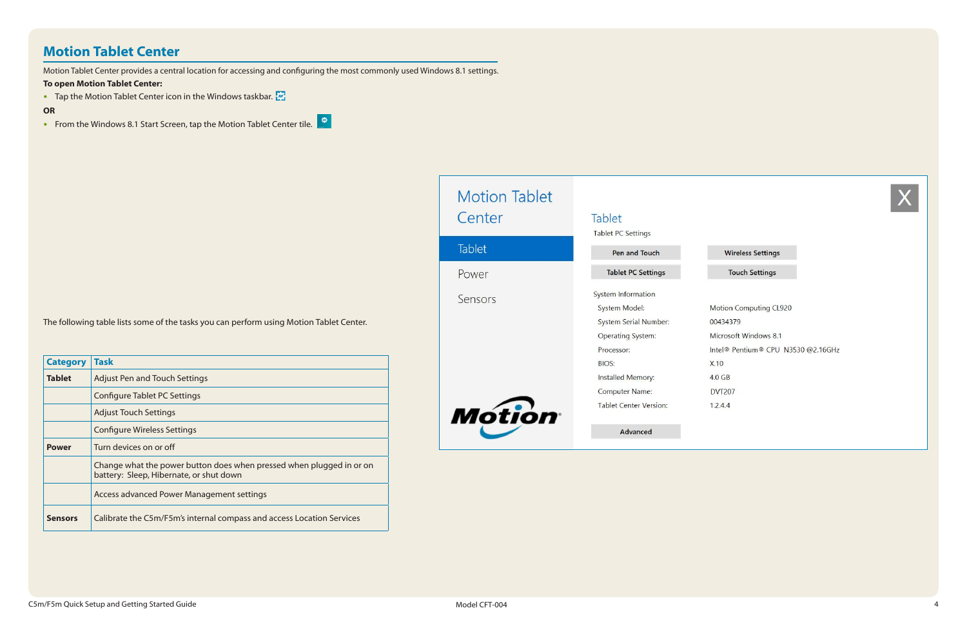### **Motion Tablet Center**

Motion Tablet Center provides a central location for accessing and configuring the most commonly used Windows 8.1 settings.

#### **To open Motion Tablet Center:**

• Tap the Motion Tablet Center icon in the Windows taskbar.

### **OR**

• From the Windows 8.1 Start Screen, tap the Motion Tablet Center tile.

| <b>Category</b> | <b>Task</b>                                                                                                     |
|-----------------|-----------------------------------------------------------------------------------------------------------------|
| <b>Tablet</b>   | <b>Adjust Pen and Touch Settings</b>                                                                            |
|                 | <b>Configure Tablet PC Settings</b>                                                                             |
|                 | <b>Adjust Touch Settings</b>                                                                                    |
|                 | <b>Configure Wireless Settings</b>                                                                              |
| <b>Power</b>    | Turn devices on or off                                                                                          |
|                 | Change what the power button does when pressed when plugged in or on<br>battery: Sleep, Hibernate, or shut down |
|                 | Access advanced Power Management settings                                                                       |
| <b>Sensors</b>  | Calibrate the C5m/F5m's internal compass and access Location Services                                           |

| <b>Motion Tablet</b><br>Center | Tablet<br><b>Tablet PC Settings</b>                                                                                                                                                                          |
|--------------------------------|--------------------------------------------------------------------------------------------------------------------------------------------------------------------------------------------------------------|
| <b>Tablet</b>                  | Pen and Touch                                                                                                                                                                                                |
| Power                          | <b>Tablet PC Settings</b>                                                                                                                                                                                    |
| Sensors<br><b>Motion</b>       | <b>System Information</b><br>System Model:<br>System Serial Number:<br><b>Operating System:</b><br>Processor:<br><b>BIOS:</b><br>Installed Memory:<br><b>Computer Name:</b><br><b>Tablet Center Version:</b> |
|                                | Advanced                                                                                                                                                                                                     |



#### **Wireless Settings**

#### **Touch Settings**

- Motion Computing CL920
- 00434379
- Microsoft Windows 8.1
- Intel® Pentium® CPU N3530 @2.16GHz
- $X.10$
- 4.0 GB
- **DVT207**
- $1.2.4.4$

The following table lists some of the tasks you can perform using Motion Tablet Center.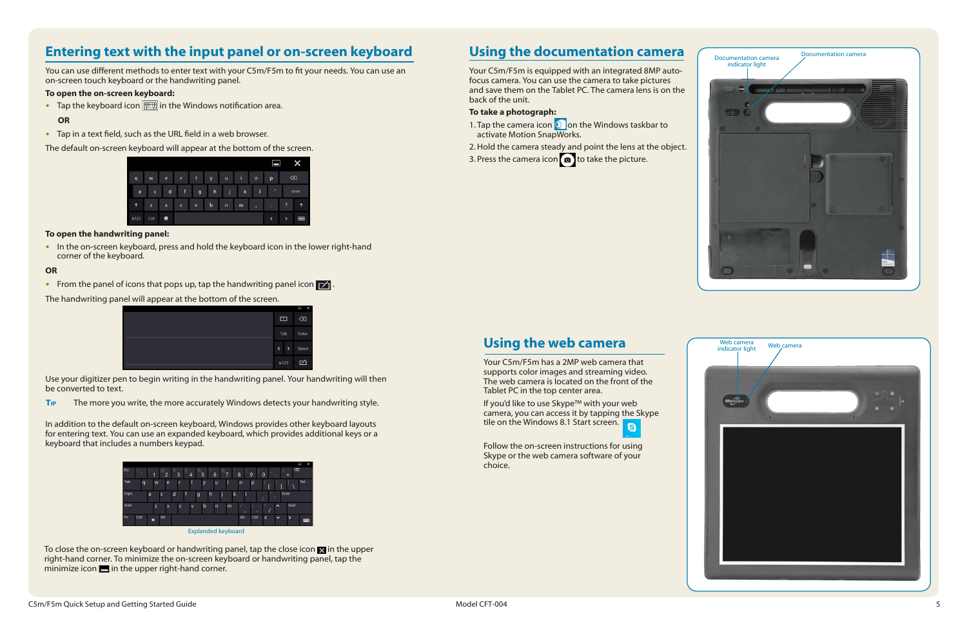### **Using the documentation camera**

Your C5m/F5m is equipped with an integrated 8MP autofocus camera. You can use the camera to take pictures and save them on the Tablet PC. The camera lens is on the back of the unit.

#### **To take a photograph:**

- 1. Tap the camera icon  $\Omega$  on the Windows taskbar to activate Motion SnapWorks.
- 2.Hold the camera steady and point the lens at the object.
- 3. Press the camera icon  $\bullet$  to take the picture.

If you'd like to use Skype™ with your web camera, you can access it by tapping the Skype tile on the Windows 8.1 Start screen.



### **Using the web camera**

Your C5m/F5m has a 2MP web camera that supports color images and streaming video. The web camera is located on the front of the Tablet PC in the top center area.

• In the on-screen keyboard, press and hold the keyboard icon in the lower right-hand corner of the keyboard.

> Follow the on-screen instructions for using Skype or the web camera software of your choice.

#### **To open the on-screen keyboard:**

• Tap the keyboard icon  $\boxed{\equiv}$  in the Windows notification area.

#### **OR**

• Tap in a text field, such as the URL field in a web browser.

The default on-screen keyboard will appear at the bottom of the screen.

|            |      |                         |            |             |              |              |             |                | ᆷ |                | x                                     |  |
|------------|------|-------------------------|------------|-------------|--------------|--------------|-------------|----------------|---|----------------|---------------------------------------|--|
| q          | W    | $\ddot{\textbf{e}}$     | r          | t           | y            | u            | ī           | $\circ$        | p |                | $\infty$                              |  |
| a          | s    | d                       | f          | g           | $\mathsf{h}$ | u            | $\mathbf k$ |                | ٠ |                | Enter                                 |  |
| $\uparrow$ | z    | $\overline{\mathbf{x}}$ | $\epsilon$ | $\mathbf v$ | $\mathbf b$  | $\mathsf{n}$ | m           | $\pmb{\prime}$ | ٠ | ?              | 1                                     |  |
| &123       | Ctrl | $\bullet$               |            |             |              |              |             |                | K | $\overline{ }$ | $\begin{array}{c} \hline \end{array}$ |  |

#### **To open the handwriting panel:**

#### **OR**

• From the panel of icons that pops up, tap the handwriting panel icon  $\mathbf{z}$ 

The handwriting panel will appear at the bottom of the screen.



Use your digitizer pen to begin writing in the handwriting panel. Your handwriting will then be converted to text.

**Tip** The more you write, the more accurately Windows detects your handwriting style.

In addition to the default on-screen keyboard, Windows provides other keyboard layouts for entering text. You can use an expanded keyboard, which provides additional keys or a keyboard that includes a numbers keypad.



To close the on-screen keyboard or handwriting panel, tap the close icon  $\blacksquare$  in the upper right-hand corner. To minimize the on-screen keyboard or handwriting panel, tap the minimize icon  $\blacksquare$  in the upper right-hand corner.

### **Entering text with the input panel or on-screen keyboard**

You can use different methods to enter text with your C5m/F5m to fit your needs. You can use an on-screen touch keyboard or the handwriting panel.